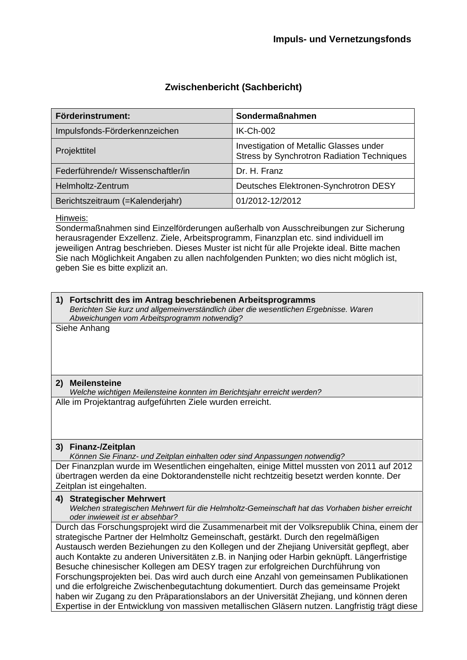### **Zwischenbericht (Sachbericht)**

| Förderinstrument:                  | Sondermaßnahmen                                                                              |
|------------------------------------|----------------------------------------------------------------------------------------------|
| Impulsfonds-Förderkennzeichen      | <b>IK-Ch-002</b>                                                                             |
| Projekttitel                       | Investigation of Metallic Glasses under<br><b>Stress by Synchrotron Radiation Techniques</b> |
| Federführende/r Wissenschaftler/in | Dr. H. Franz                                                                                 |
| Helmholtz-Zentrum                  | Deutsches Elektronen-Synchrotron DESY                                                        |
| Berichtszeitraum (=Kalenderjahr)   | 01/2012-12/2012                                                                              |

#### Hinweis:

Sondermaßnahmen sind Einzelförderungen außerhalb von Ausschreibungen zur Sicherung herausragender Exzellenz. Ziele, Arbeitsprogramm, Finanzplan etc. sind individuell im jeweiligen Antrag beschrieben. Dieses Muster ist nicht für alle Projekte ideal. Bitte machen Sie nach Möglichkeit Angaben zu allen nachfolgenden Punkten; wo dies nicht möglich ist, geben Sie es bitte explizit an.

#### **1) Fortschritt des im Antrag beschriebenen Arbeitsprogramms**

*Berichten Sie kurz und allgemeinverständlich über die wesentlichen Ergebnisse. Waren Abweichungen vom Arbeitsprogramm notwendig?*

Siehe Anhang

#### **2) Meilensteine**

*Welche wichtigen Meilensteine konnten im Berichtsjahr erreicht werden?*  Alle im Projektantrag aufgeführten Ziele wurden erreicht.

#### **3) Finanz-/Zeitplan**

*Können Sie Finanz- und Zeitplan einhalten oder sind Anpassungen notwendig?*  Der Finanzplan wurde im Wesentlichen eingehalten, einige Mittel mussten von 2011 auf 2012 übertragen werden da eine Doktorandenstelle nicht rechtzeitig besetzt werden konnte. Der Zeitplan ist eingehalten.

#### **4) Strategischer Mehrwert**

*Welchen strategischen Mehrwert für die Helmholtz-Gemeinschaft hat das Vorhaben bisher erreicht oder inwieweit ist er absehbar?* 

Durch das Forschungsprojekt wird die Zusammenarbeit mit der Volksrepublik China, einem der strategische Partner der Helmholtz Gemeinschaft, gestärkt. Durch den regelmäßigen Austausch werden Beziehungen zu den Kollegen und der Zhejiang Universität gepflegt, aber auch Kontakte zu anderen Universitäten z.B. in Nanjing oder Harbin geknüpft. Längerfristige Besuche chinesischer Kollegen am DESY tragen zur erfolgreichen Durchführung von Forschungsprojekten bei. Das wird auch durch eine Anzahl von gemeinsamen Publikationen und die erfolgreiche Zwischenbegutachtung dokumentiert. Durch das gemeinsame Projekt haben wir Zugang zu den Präparationslabors an der Universität Zhejiang, und können deren Expertise in der Entwicklung von massiven metallischen Gläsern nutzen. Langfristig trägt diese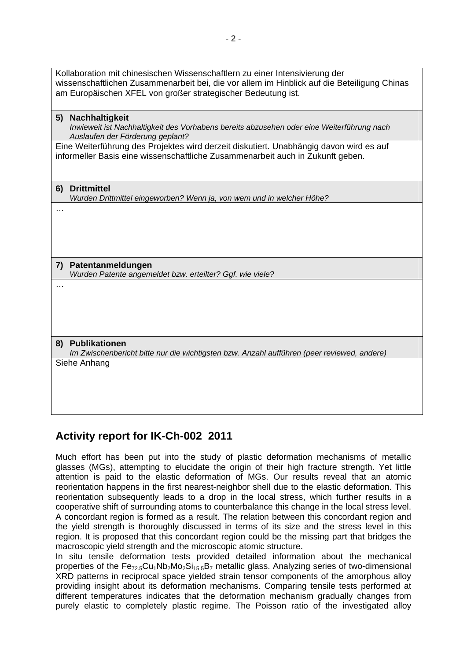| Kollaboration mit chinesischen Wissenschaftlern zu einer Intensivierung der<br>wissenschaftlichen Zusammenarbeit bei, die vor allem im Hinblick auf die Beteiligung Chinas<br>am Europäischen XFEL von großer strategischer Bedeutung ist. |
|--------------------------------------------------------------------------------------------------------------------------------------------------------------------------------------------------------------------------------------------|
| Nachhaltigkeit<br>5)<br>Inwieweit ist Nachhaltigkeit des Vorhabens bereits abzusehen oder eine Weiterführung nach<br>Auslaufen der Förderung geplant?                                                                                      |
| Eine Weiterführung des Projektes wird derzeit diskutiert. Unabhängig davon wird es auf<br>informeller Basis eine wissenschaftliche Zusammenarbeit auch in Zukunft geben.                                                                   |
| <b>Drittmittel</b><br>6)<br>Wurden Drittmittel eingeworben? Wenn ja, von wem und in welcher Höhe?                                                                                                                                          |
|                                                                                                                                                                                                                                            |
| 7) Patentanmeldungen<br>Wurden Patente angemeldet bzw. erteilter? Ggf. wie viele?                                                                                                                                                          |
|                                                                                                                                                                                                                                            |
| 8) Publikationen<br>Im Zwischenbericht bitte nur die wichtigsten bzw. Anzahl aufführen (peer reviewed, andere)                                                                                                                             |
| Siehe Anhang                                                                                                                                                                                                                               |

# **Activity report for IK-Ch-002 2011**

Much effort has been put into the study of plastic deformation mechanisms of metallic glasses (MGs), attempting to elucidate the origin of their high fracture strength. Yet little attention is paid to the elastic deformation of MGs. Our results reveal that an atomic reorientation happens in the first nearest-neighbor shell due to the elastic deformation. This reorientation subsequently leads to a drop in the local stress, which further results in a cooperative shift of surrounding atoms to counterbalance this change in the local stress level. A concordant region is formed as a result. The relation between this concordant region and the yield strength is thoroughly discussed in terms of its size and the stress level in this region. It is proposed that this concordant region could be the missing part that bridges the macroscopic yield strength and the microscopic atomic structure.

In situ tensile deformation tests provided detailed information about the mechanical properties of the  $Fe_{72.5}Cu_1Nb_2Mo_2Si_{15.5}B_7$  metallic glass. Analyzing series of two-dimensional XRD patterns in reciprocal space yielded strain tensor components of the amorphous alloy providing insight about its deformation mechanisms. Comparing tensile tests performed at different temperatures indicates that the deformation mechanism gradually changes from purely elastic to completely plastic regime. The Poisson ratio of the investigated alloy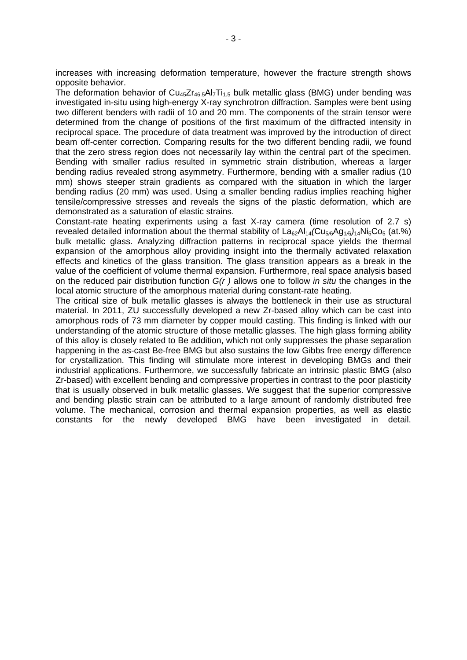increases with increasing deformation temperature, however the fracture strength shows opposite behavior.

The deformation behavior of  $Cu_{45}Zr_{46.5}Al_{7}Ti_{1.5}$  bulk metallic glass (BMG) under bending was investigated in-situ using high-energy X-ray synchrotron diffraction. Samples were bent using two different benders with radii of 10 and 20 mm. The components of the strain tensor were determined from the change of positions of the first maximum of the diffracted intensity in reciprocal space. The procedure of data treatment was improved by the introduction of direct beam off-center correction. Comparing results for the two different bending radii, we found that the zero stress region does not necessarily lay within the central part of the specimen. Bending with smaller radius resulted in symmetric strain distribution, whereas a larger bending radius revealed strong asymmetry. Furthermore, bending with a smaller radius (10 mm) shows steeper strain gradients as compared with the situation in which the larger bending radius (20 mm) was used. Using a smaller bending radius implies reaching higher tensile/compressive stresses and reveals the signs of the plastic deformation, which are demonstrated as a saturation of elastic strains.

Constant-rate heating experiments using a fast X-ray camera (time resolution of 2.7 s) revealed detailed information about the thermal stability of La62Al14*(*Cu5*/*6Ag1*/*6*)*14Ni5Co5 (at.%) bulk metallic glass. Analyzing diffraction patterns in reciprocal space yields the thermal expansion of the amorphous alloy providing insight into the thermally activated relaxation effects and kinetics of the glass transition. The glass transition appears as a break in the value of the coefficient of volume thermal expansion. Furthermore, real space analysis based on the reduced pair distribution function *G(r )* allows one to follow *in situ* the changes in the local atomic structure of the amorphous material during constant-rate heating.

The critical size of bulk metallic glasses is always the bottleneck in their use as structural material. In 2011, ZU successfully developed a new Zr-based alloy which can be cast into amorphous rods of 73 mm diameter by copper mould casting. This finding is linked with our understanding of the atomic structure of those metallic glasses. The high glass forming ability of this alloy is closely related to Be addition, which not only suppresses the phase separation happening in the as-cast Be-free BMG but also sustains the low Gibbs free energy difference for crystallization. This finding will stimulate more interest in developing BMGs and their industrial applications. Furthermore, we successfully fabricate an intrinsic plastic BMG (also Zr-based) with excellent bending and compressive properties in contrast to the poor plasticity that is usually observed in bulk metallic glasses. We suggest that the superior compressive and bending plastic strain can be attributed to a large amount of randomly distributed free volume. The mechanical, corrosion and thermal expansion properties, as well as elastic constants for the newly developed BMG have been investigated in detail.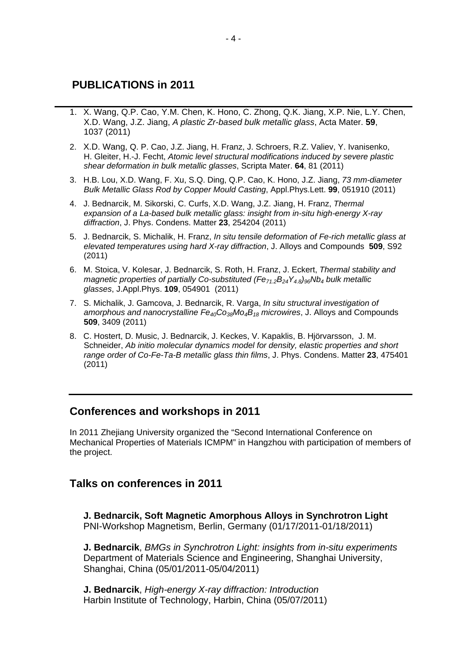# **PUBLICATIONS in 2011**

- 1. X. Wang, Q.P. Cao, Y.M. Chen, K. Hono, C. Zhong, Q.K. Jiang, X.P. Nie, L.Y. Chen, X.D. Wang, J.Z. Jiang, *A plastic Zr-based bulk metallic glass*, Acta Mater. **59**, 1037 (2011)
- 2. X.D. Wang, Q. P. Cao, J.Z. Jiang, H. Franz, J. Schroers, R.Z. Valiev, Y. Ivanisenko, H. Gleiter, H.-J. Fecht, *Atomic level structural modifications induced by severe plastic shear deformation in bulk metallic glasses*, Scripta Mater. **64**, 81 (2011)
- 3. H.B. Lou, X.D. Wang, F. Xu, S.Q. Ding, Q.P. Cao, K. Hono, J.Z. Jiang, *73 mm-diameter Bulk Metallic Glass Rod by Copper Mould Casting*, Appl.Phys.Lett. **99**, 051910 (2011)
- 4. J. Bednarcik, M. Sikorski, C. Curfs, X.D. Wang, J.Z. Jiang, H. Franz, *Thermal expansion of a La-based bulk metallic glass: insight from in-situ high-energy X-ray diffraction*, J. Phys. Condens. Matter **23**, 254204 (2011)
- 5. J. Bednarcik, S. Michalik, H. Franz, *In situ tensile deformation of Fe-rich metallic glass at elevated temperatures using hard X-ray diffraction*, J. Alloys and Compounds **509**, S92 (2011)
- 6. M. Stoica, V. Kolesar, J. Bednarcik, S. Roth, H. Franz, J. Eckert, *Thermal stability and magnetic properties of partially Co-substituted (Fe<sub>71.2</sub>B<sub>24</sub>Y<sub>4.8</sub>)<sub>96</sub>Nb<sub>4</sub> bulk metallic glasses*, J.Appl.Phys. **109**, 054901 (2011)
- 7. S. Michalik, J. Gamcova, J. Bednarcik, R. Varga, *In situ structural investigation of amorphous and nanocrystalline Fe40Co38Mo4B18 microwires*, J. Alloys and Compounds **509**, 3409 (2011)
- 8. C. Hostert, D. Music, J. Bednarcik, J. Keckes, V. Kapaklis, B. Hjörvarsson, J. M. Schneider, *Ab initio molecular dynamics model for density, elastic properties and short range order of Co-Fe-Ta-B metallic glass thin films*, J. Phys. Condens. Matter **23**, 475401 (2011)

# **Conferences and workshops in 2011**

In 2011 Zhejiang University organized the "Second International Conference on Mechanical Properties of Materials ICMPM" in Hangzhou with participation of members of the project.

# **Talks on conferences in 2011**

**J. Bednarcik, Soft Magnetic Amorphous Alloys in Synchrotron Light**  PNI-Workshop Magnetism, Berlin, Germany (01/17/2011-01/18/2011)

**J. Bednarcik**, *BMGs in Synchrotron Light: insights from in-situ experiments* Department of Materials Science and Engineering, Shanghai University, Shanghai, China (05/01/2011-05/04/2011)

**J. Bednarcik**, *High-energy X-ray diffraction: Introduction* Harbin Institute of Technology, Harbin, China (05/07/2011)